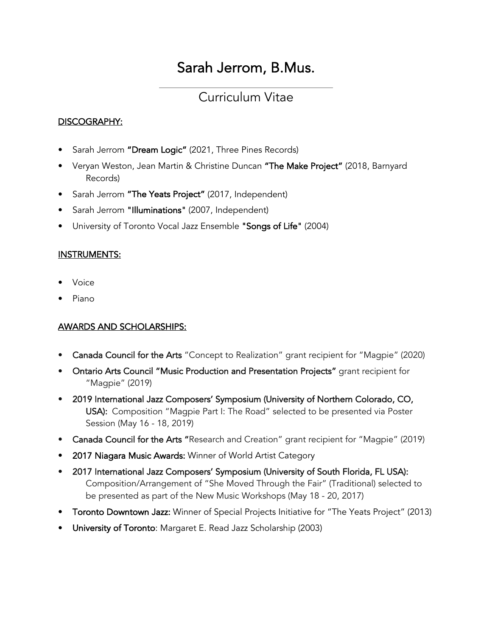# Sarah Jerrom, B.Mus.

# Curriculum Vitae

#### DISCOGRAPHY:

- Sarah Jerrom "Dream Logic" (2021, Three Pines Records)
- Veryan Weston, Jean Martin & Christine Duncan "The Make Project" (2018, Barnyard Records)
- Sarah Jerrom "The Yeats Project" (2017, Independent)
- Sarah Jerrom "Illuminations" (2007, Independent)
- University of Toronto Vocal Jazz Ensemble "Songs of Life" (2004)

#### INSTRUMENTS:

- Voice
- Piano

#### AWARDS AND SCHOLARSHIPS:

- Canada Council for the Arts "Concept to Realization" grant recipient for "Magpie" (2020)
- Ontario Arts Council "Music Production and Presentation Projects" grant recipient for "Magpie" (2019)
- 2019 International Jazz Composers' Symposium (University of Northern Colorado, CO, USA): Composition "Magpie Part I: The Road" selected to be presented via Poster Session (May 16 - 18, 2019)
- Canada Council for the Arts "Research and Creation" grant recipient for "Magpie" (2019)
- 2017 Niagara Music Awards: Winner of World Artist Category
- 2017 International Jazz Composers' Symposium (University of South Florida, FL USA): Composition/Arrangement of "She Moved Through the Fair" (Traditional) selected to be presented as part of the New Music Workshops (May 18 - 20, 2017)
- Toronto Downtown Jazz: Winner of Special Projects Initiative for "The Yeats Project" (2013)
- University of Toronto: Margaret E. Read Jazz Scholarship (2003)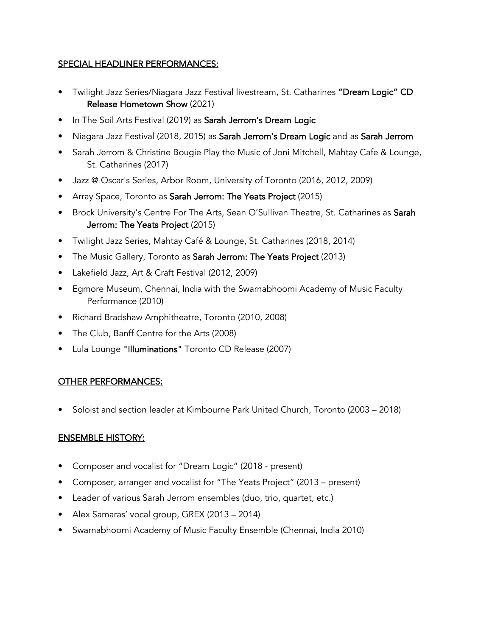#### SPECIAL HEADLINER PERFORMANCES:

- Twilight Jazz Series/Niagara Jazz Festival livestream, St. Catharines "Dream Logic" CD Release Hometown Show (2021)
- In The Soil Arts Festival (2019) as Sarah Jerrom's Dream Logic
- Niagara Jazz Festival (2018, 2015) as Sarah Jerrom's Dream Logic and as Sarah Jerrom
- Sarah Jerrom & Christine Bougie Play the Music of Joni Mitchell, Mahtay Cafe & Lounge, St. Catharines (2017)
- Jazz @ Oscar's Series, Arbor Room, University of Toronto (2016, 2012, 2009)
- Array Space, Toronto as Sarah Jerrom: The Yeats Project (2015)
- Brock University's Centre For The Arts, Sean O'Sullivan Theatre, St. Catharines as Sarah Jerrom: The Yeats Project (2015)
- Twilight Jazz Series, Mahtay Café & Lounge, St. Catharines (2018, 2014)
- The Music Gallery, Toronto as Sarah Jerrom: The Yeats Project (2013)
- Lakefield Jazz, Art & Craft Festival (2012, 2009)
- Egmore Museum, Chennai, India with the Swarnabhoomi Academy of Music Faculty Performance (2010)
- Richard Bradshaw Amphitheatre, Toronto (2010, 2008)
- The Club, Banff Centre for the Arts (2008)
- Lula Lounge "Illuminations" Toronto CD Release (2007)

# OTHER PERFORMANCES:

• Soloist and section leader at Kimbourne Park United Church, Toronto (2003 – 2018)

#### ENSEMBLE HISTORY:

- Composer and vocalist for "Dream Logic" (2018 present)
- Composer, arranger and vocalist for "The Yeats Project" (2013 present)
- Leader of various Sarah Jerrom ensembles (duo, trio, quartet, etc.)
- Alex Samaras' vocal group, GREX (2013 2014)
- Swarnabhoomi Academy of Music Faculty Ensemble (Chennai, India 2010)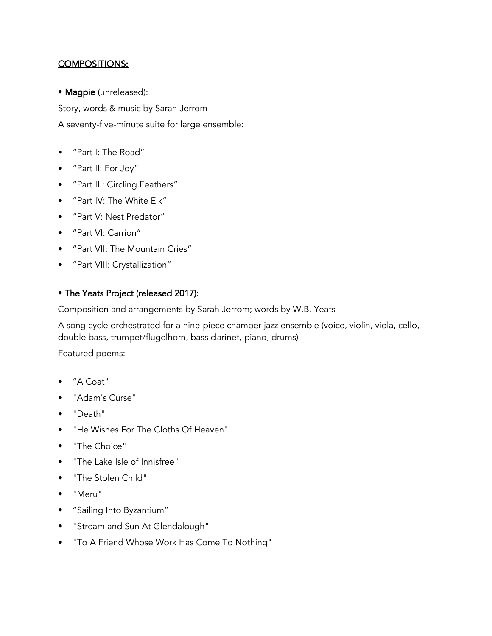#### COMPOSITIONS:

• Magpie (unreleased):

Story, words & music by Sarah Jerrom A seventy-five-minute suite for large ensemble:

- "Part I: The Road"
- "Part II: For Joy"
- "Part III: Circling Feathers"
- "Part IV: The White Elk"
- "Part V: Nest Predator"
- "Part VI: Carrion"
- "Part VII: The Mountain Cries"
- "Part VIII: Crystallization"

#### • The Yeats Project (released 2017):

Composition and arrangements by Sarah Jerrom; words by W.B. Yeats

A song cycle orchestrated for a nine-piece chamber jazz ensemble (voice, violin, viola, cello, double bass, trumpet/flugelhorn, bass clarinet, piano, drums)

Featured poems:

- "A Coat"
- "Adam's Curse"
- "Death"
- "He Wishes For The Cloths Of Heaven"
- "The Choice"
- "The Lake Isle of Innisfree"
- "The Stolen Child"
- "Meru"
- "Sailing Into Byzantium"
- "Stream and Sun At Glendalough"
- "To A Friend Whose Work Has Come To Nothing"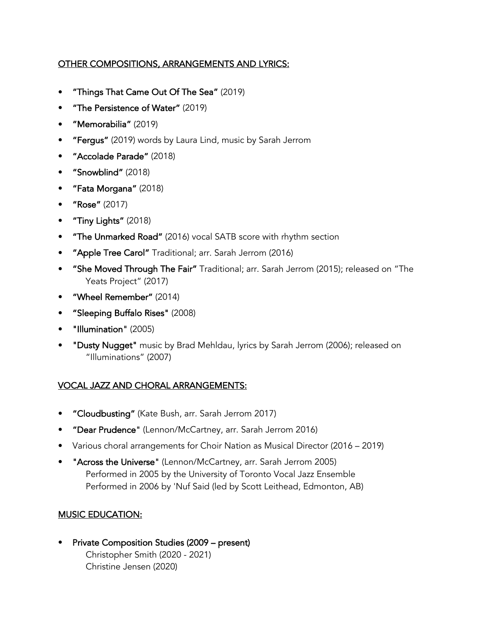### OTHER COMPOSITIONS, ARRANGEMENTS AND LYRICS:

- "Things That Came Out Of The Sea" (2019)
- "The Persistence of Water" (2019)
- "Memorabilia" (2019)
- "Fergus" (2019) words by Laura Lind, music by Sarah Jerrom
- "Accolade Parade" (2018)
- "Snowblind" (2018)
- "Fata Morgana" (2018)
- "Rose" (2017)
- "Tiny Lights" (2018)
- "The Unmarked Road" (2016) vocal SATB score with rhythm section
- "Apple Tree Carol" Traditional; arr. Sarah Jerrom (2016)
- "She Moved Through The Fair" Traditional; arr. Sarah Jerrom (2015); released on "The Yeats Project" (2017)
- "Wheel Remember" (2014)
- "Sleeping Buffalo Rises" (2008)
- "Illumination" (2005)
- "Dusty Nugget" music by Brad Mehldau, lyrics by Sarah Jerrom (2006); released on "Illuminations" (2007)

#### VOCAL JAZZ AND CHORAL ARRANGEMENTS:

- "Cloudbusting" (Kate Bush, arr. Sarah Jerrom 2017)
- "Dear Prudence" (Lennon/McCartney, arr. Sarah Jerrom 2016)
- Various choral arrangements for Choir Nation as Musical Director (2016 2019)
- "Across the Universe" (Lennon/McCartney, arr. Sarah Jerrom 2005) Performed in 2005 by the University of Toronto Vocal Jazz Ensemble Performed in 2006 by 'Nuf Said (led by Scott Leithead, Edmonton, AB)

#### MUSIC EDUCATION:

• Private Composition Studies (2009 – present) Christopher Smith (2020 - 2021) Christine Jensen (2020)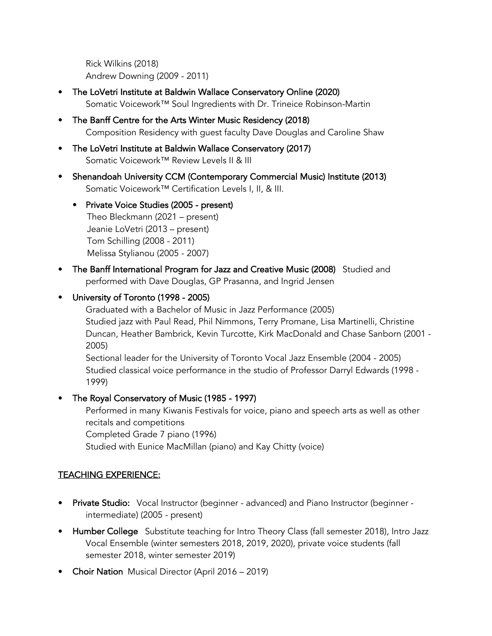Rick Wilkins (2018) Andrew Downing (2009 - 2011)

- The LoVetri Institute at Baldwin Wallace Conservatory Online (2020) Somatic Voicework™ Soul Ingredients with Dr. Trineice Robinson-Martin
- The Banff Centre for the Arts Winter Music Residency (2018) Composition Residency with guest faculty Dave Douglas and Caroline Shaw
- The LoVetri Institute at Baldwin Wallace Conservatory (2017) Somatic Voicework™ Review Levels II & III
- Shenandoah University CCM (Contemporary Commercial Music) Institute (2013) Somatic Voicework™ Certification Levels I, II, & III.
	- Private Voice Studies (2005 present) Theo Bleckmann (2021 – present) Jeanie LoVetri (2013 – present) Tom Schilling (2008 - 2011) Melissa Stylianou (2005 - 2007)
- The Banff International Program for Jazz and Creative Music (2008) Studied and performed with Dave Douglas, GP Prasanna, and Ingrid Jensen

# • University of Toronto (1998 - 2005)

Graduated with a Bachelor of Music in Jazz Performance (2005) Studied jazz with Paul Read, Phil Nimmons, Terry Promane, Lisa Martinelli, Christine Duncan, Heather Bambrick, Kevin Turcotte, Kirk MacDonald and Chase Sanborn (2001 - 2005)

Sectional leader for the University of Toronto Vocal Jazz Ensemble (2004 - 2005) Studied classical voice performance in the studio of Professor Darryl Edwards (1998 - 1999)

# • The Royal Conservatory of Music (1985 - 1997)

Performed in many Kiwanis Festivals for voice, piano and speech arts as well as other recitals and competitions Completed Grade 7 piano (1996) Studied with Eunice MacMillan (piano) and Kay Chitty (voice)

# TEACHING EXPERIENCE:

- Private Studio: Vocal Instructor (beginner advanced) and Piano Instructor (beginner intermediate) (2005 - present)
- Humber College Substitute teaching for Intro Theory Class (fall semester 2018), Intro Jazz Vocal Ensemble (winter semesters 2018, 2019, 2020), private voice students (fall semester 2018, winter semester 2019)
- Choir Nation Musical Director (April 2016 2019)